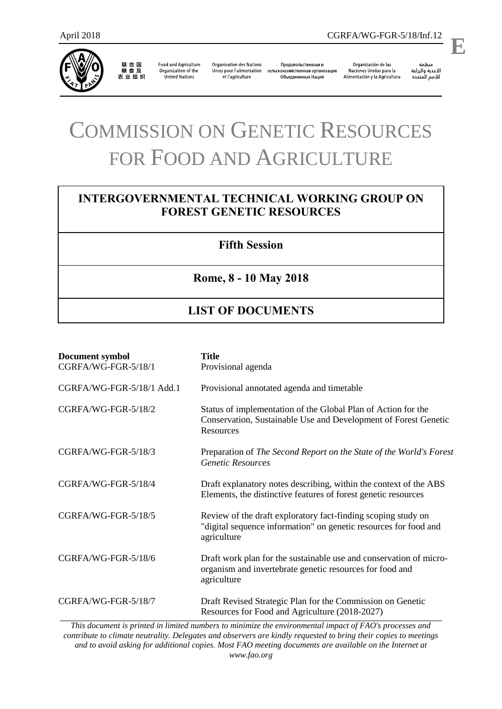

联合国<br>粮食及<br>农业组织

**Food and Agriculture** Organization of the United Nations

**Organisation des Nations** Unies pour l'alimentation et l'agriculture

Продовольственная и сельскохозяйственная организация Объединенных Наций

Organización de las Naciones Unidas para la Alimentación y la Agricultura منظمة

.

# COMMISSION ON GENETIC RESOURCES FOR FOOD AND AGRICULTURE

## **INTERGOVERNMENTAL TECHNICAL WORKING GROUP ON FOREST GENETIC RESOURCES**

### **Fifth Session**

#### **Rome, 8 - 10 May 2018**

## **LIST OF DOCUMENTS**

| Document symbol<br>CGRFA/WG-FGR-5/18/1 | <b>Title</b><br>Provisional agenda                                                                                                               |
|----------------------------------------|--------------------------------------------------------------------------------------------------------------------------------------------------|
| CGRFA/WG-FGR-5/18/1 Add.1              | Provisional annotated agenda and timetable                                                                                                       |
| CGRFA/WG-FGR-5/18/2                    | Status of implementation of the Global Plan of Action for the<br>Conservation, Sustainable Use and Development of Forest Genetic<br>Resources    |
| CGRFA/WG-FGR-5/18/3                    | Preparation of The Second Report on the State of the World's Forest<br><b>Genetic Resources</b>                                                  |
| CGRFA/WG-FGR-5/18/4                    | Draft explanatory notes describing, within the context of the ABS<br>Elements, the distinctive features of forest genetic resources              |
| CGRFA/WG-FGR-5/18/5                    | Review of the draft exploratory fact-finding scoping study on<br>"digital sequence information" on genetic resources for food and<br>agriculture |
| CGRFA/WG-FGR-5/18/6                    | Draft work plan for the sustainable use and conservation of micro-<br>organism and invertebrate genetic resources for food and<br>agriculture    |
| CGRFA/WG-FGR-5/18/7                    | Draft Revised Strategic Plan for the Commission on Genetic<br>Resources for Food and Agriculture (2018-2027)                                     |

*This document is printed in limited numbers to minimize the environmental impact of FAO's processes and contribute to climate neutrality. Delegates and observers are kindly requested to bring their copies to meetings and to avoid asking for additional copies. Most FAO meeting documents are available on the Internet at www.fao.org*